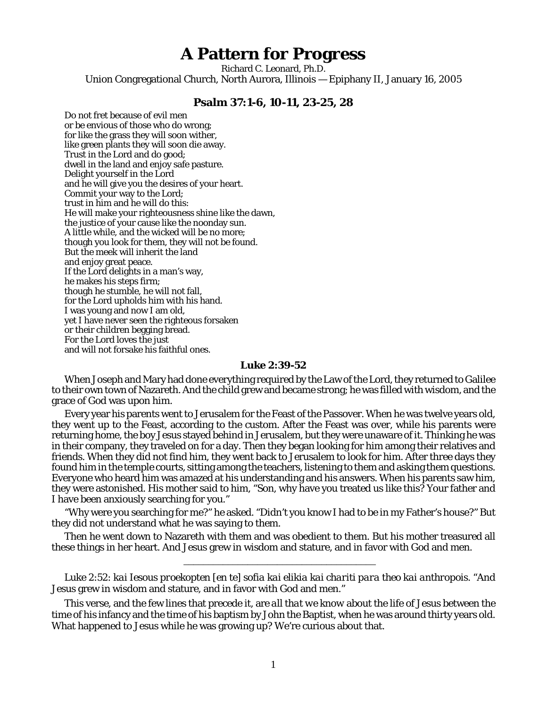## **A Pattern for Progress**

Richard C. Leonard, Ph.D. Union Congregational Church, North Aurora, Illinois — Epiphany II, January 16, 2005

## **Psalm 37:1-6, 10-11, 23-25, 28**

Do not fret because of evil men or be envious of those who do wrong; for like the grass they will soon wither, like green plants they will soon die away. Trust in the Lord and do good; dwell in the land and enjoy safe pasture. Delight yourself in the Lord and he will give you the desires of your heart. Commit your way to the Lord; trust in him and he will do this: He will make your righteousness shine like the dawn, the justice of your cause like the noonday sun. A little while, and the wicked will be no more; though you look for them, they will not be found. But the meek will inherit the land and enjoy great peace. If the Lord delights in a man's way, he makes his steps firm; though he stumble, he will not fall, for the Lord upholds him with his hand. I was young and now I am old, yet I have never seen the righteous forsaken or their children begging bread. For the Lord loves the just and will not forsake his faithful ones.

## **Luke 2:39-52**

When Joseph and Mary had done everything required by the Law of the Lord, they returned to Galilee to their own town of Nazareth. And the child grew and became strong; he was filled with wisdom, and the grace of God was upon him.

Every year his parents went to Jerusalem for the Feast of the Passover. When he was twelve years old, they went up to the Feast, according to the custom. After the Feast was over, while his parents were returning home, the boy Jesus stayed behind in Jerusalem, but they were unaware of it. Thinking he was in their company, they traveled on for a day. Then they began looking for him among their relatives and friends. When they did not find him, they went back to Jerusalem to look for him. After three days they found him in the temple courts, sitting among the teachers, listening to them and asking them questions. Everyone who heard him was amazed at his understanding and his answers. When his parents saw him, they were astonished. His mother said to him, "Son, why have you treated us like this? Your father and I have been anxiously searching for you."

"Why were you searching for me?" he asked. "Didn't you know I had to be in my Father's house?" But they did not understand what he was saying to them.

Then he went down to Nazareth with them and was obedient to them. But his mother treasured all these things in her heart. And Jesus grew in wisdom and stature, and in favor with God and men.

\_\_\_\_\_\_\_\_\_\_\_\_\_\_\_\_\_\_\_\_\_\_\_\_\_\_\_\_\_\_\_\_\_\_\_\_\_\_\_

Luke 2:52: *kai Iesous proekopten [en te] sofia kai elikia kai chariti para theo kai anthropois.* "And Jesus grew in wisdom and stature, and in favor with God and men."

This verse, and the few lines that precede it, are *all that we know* about the life of Jesus between the time of his infancy and the time of his baptism by John the Baptist, when he was around thirty years old. What happened to Jesus while he was growing up? We're curious about that.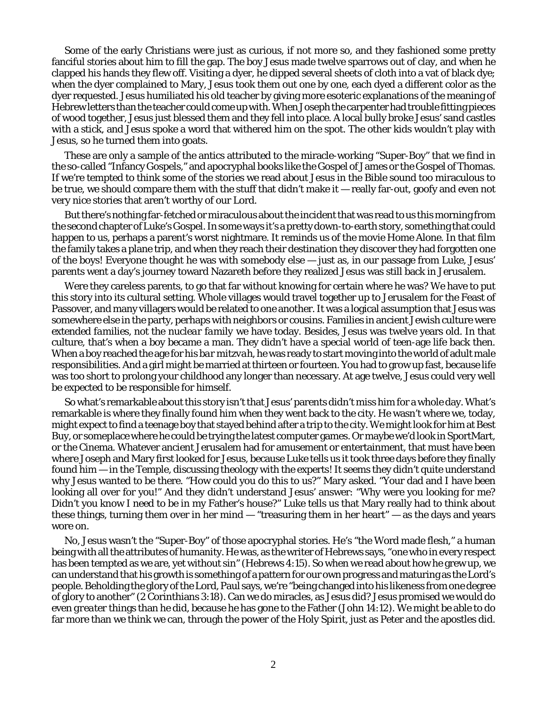Some of the early Christians were just as curious, if not more so, and they fashioned some pretty fanciful stories about him to fill the gap. The boy Jesus made twelve sparrows out of clay, and when he clapped his hands they flew off. Visiting a dyer, he dipped several sheets of cloth into a vat of black dye; when the dyer complained to Mary, Jesus took them out one by one, each dyed a different color as the dyer requested. Jesus humiliated his old teacher by giving more esoteric explanations of the meaning of Hebrew letters than the teacher could come up with. When Joseph the carpenter had trouble fitting pieces of wood together, Jesus just blessed them and they fell into place. A local bully broke Jesus' sand castles with a stick, and Jesus spoke a word that withered him on the spot. The other kids wouldn't play with Jesus, so he turned them into goats.

These are only a sample of the antics attributed to the miracle-working "Super-Boy" that we find in the so-called "Infancy Gospels," and apocryphal books like the Gospel of James or the Gospel of Thomas. If we're tempted to think some of the stories we read about Jesus in the Bible sound too miraculous to be true, we should compare them with the stuff that didn't make it — really far-out, goofy and even not very nice stories that aren't worthy of our Lord.

But there's nothing far-fetched or miraculous about the incident that was read to us this morning from the second chapter of Luke's Gospel. In some ways it's a pretty down-to-earth story, something that could happen to us, perhaps a parent's worst nightmare. It reminds us of the movie *Home Alone.* In that film the family takes a plane trip, and when they reach their destination they discover they had forgotten one of the boys! Everyone thought he was with somebody else — just as, in our passage from Luke, Jesus' parents went a day's journey toward Nazareth before they realized Jesus was still back in Jerusalem.

Were they careless parents, to go that far without knowing for certain where he was? We have to put this story into its cultural setting. Whole villages would travel together up to Jerusalem for the Feast of Passover, and many villagers would be related to one another. It was a logical assumption that Jesus was somewhere else in the party, perhaps with neighbors or cousins. Families in ancient Jewish culture were *extended families,* not the *nuclear family* we have today. Besides, Jesus was twelve years old. In that culture, that's when a boy became a man. They didn't have a special world of teen-age life back then. When a boy reached the age for his *bar mitzvah*, he was ready to start moving into the world of adult male responsibilities. And a girl might be married at thirteen or fourteen. You had to grow up fast, because life was too short to prolong your childhood any longer than necessary. At age twelve, Jesus could very well be expected to be responsible for himself.

So what's remarkable about this story isn't that Jesus' parents didn't miss him for a whole day. What's remarkable is where they finally found him when they went back to the city. He wasn't where we, today, might expect to find a teenage boy that stayed behind after a trip to the city. We might look for him at Best Buy, or someplace where he could be trying the latest computer games. Or maybe we'd look in SportMart, or the Cinema. Whatever ancient Jerusalem had for amusement or entertainment, that must have been where Joseph and Mary first looked for Jesus, because Luke tells us it took three days before they finally found him — in the Temple, discussing theology with the experts! It seems they didn't quite understand why Jesus wanted to be there. "How could you do this to us?" Mary asked. "Your dad and I have been looking all over for you!" And they didn't understand Jesus' answer: "Why were you looking for me? Didn't you know I need to be in my Father's house?" Luke tells us that Mary really had to think about these things, turning them over in her mind  $-$  "treasuring them in her heart"  $-$  as the days and years wore on.

No, Jesus wasn't the "Super-Boy" of those apocryphal stories. He's "the Word made flesh," a human being with all the attributes of humanity. He was, as the writer of Hebrews says, "one who in every respect has been tempted as we are, yet without sin" (Hebrews 4:15). So when we read about how he grew up, we can understand that his growth is something of a pattern for our own progress and maturing as the Lord's people. Beholding the glory of the Lord, Paul says, we're "being changed into his likeness from one degree of glory to another" (2 Corinthians 3:18). Can we do miracles, as Jesus did? Jesus promised we would do even *greater* things than he did, because he has gone to the Father (John 14:12). We might be able to do far more than we think we can, through the power of the Holy Spirit, just as Peter and the apostles did.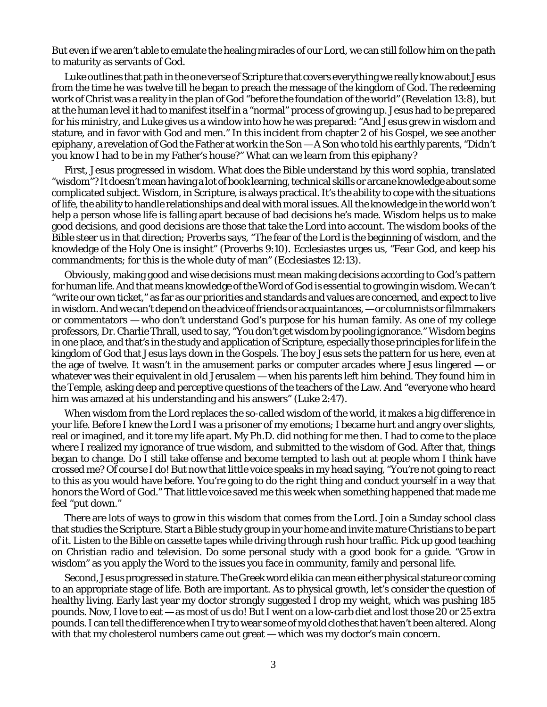But even if we aren't able to emulate the healing miracles of our Lord, we can still follow him on the path to maturity as servants of God.

Luke outlines that path in the one verse of Scripture that covers everything we really know about Jesus from the time he was twelve till he began to preach the message of the kingdom of God. The redeeming work of Christ was a reality in the plan of God "before the foundation of the world" (Revelation 13:8), but at the human level it had to manifest itself in a "normal" process of growing up. Jesus had to be prepared for his ministry, and Luke gives us a window into how he was prepared: "And Jesus grew in wisdom and stature, and in favor with God and men." In this incident from chapter 2 of his Gospel, we see another *epiphany*, a revelation of God the Father at work in the Son — A Son who told his earthly parents, "Didn't you know I had to be in my Father's house?" What can we learn from this *epiphany?*

First, Jesus progressed in *wisdom.* What does the Bible understand by this word *sophia,* translated "wisdom"? It doesn't mean having a lot of book learning, technical skills or arcane knowledge about some complicated subject. Wisdom, in Scripture, is always practical. It's the ability to cope with the situations of life, the ability to handle relationships and deal with moral issues. All the knowledge in the world won't help a person whose life is falling apart because of bad decisions he's made. Wisdom helps us to make good decisions, and *good* decisions are those that take the Lord into account. The wisdom books of the Bible steer us in that direction; Proverbs says, "The fear of the Lord is the beginning of wisdom, and the knowledge of the Holy One is insight" (Proverbs 9:10). Ecclesiastes urges us, "Fear God, and keep his commandments; for this is the whole duty of man" (Ecclesiastes 12:13).

Obviously, making good and wise decisions must mean making decisions according to God's pattern for human life. And that means knowledge of the Word of God is essential to growing in wisdom. We can't "write our own ticket," as far as our priorities and standards and values are concerned, and expect to live in wisdom. And we can't depend on the advice of friends or acquaintances, — or columnists or filmmakers or commentators — who don't understand God's purpose for his human family. As one of my college professors, Dr. Charlie Thrall, used to say, "You don't get wisdom by pooling ignorance." Wisdom begins in one place, and that's in the study and application of Scripture, especially those principles for life in the kingdom of God that Jesus lays down in the Gospels. The boy Jesus sets the pattern for us here, even at the age of twelve. It wasn't in the amusement parks or computer arcades where Jesus lingered — or whatever was their equivalent in old Jerusalem — when his parents left him behind. They found him in the Temple, asking deep and perceptive questions of the teachers of the Law. And "everyone who heard him was amazed at his understanding and his answers" (Luke 2:47).

When wisdom from the Lord replaces the so-called wisdom of the world, it makes a big difference in your life. Before I knew the Lord I was a prisoner of my emotions; I became hurt and angry over slights, real or imagined, and it tore my life apart. My Ph.D. did nothing for me then. I had to come to the place where I realized my ignorance of true wisdom, and submitted to the wisdom of God. After that, things began to change. Do I still take offense and become tempted to lash out at people whom I think have crossed me? Of course I do! But now that little voice speaks in my head saying, "You're not going to react to this as you would have before. You're going to do the right thing and conduct yourself in a way that honors the Word of God." That little voice saved me this week when something happened that made me feel "put down."

There are lots of ways to grow in this wisdom that comes from the Lord. Join a Sunday school class that studies the Scripture. Start a Bible study group in your home and invite mature Christians to be part of it. Listen to the Bible on cassette tapes while driving through rush hour traffic. Pick up good teaching on Christian radio and television. Do some personal study with a good book for a guide. "Grow in wisdom" as you apply the Word to the issues you face in community, family and personal life.

Second, Jesus progressed in*stature*. The Greek word*elikia* can mean either physical stature or coming to an appropriate stage of life. Both are important. As to physical growth, let's consider the question of healthy living. Early last year my doctor strongly suggested I drop my weight, which was pushing 185 pounds. Now, I love to eat — as most of us do! But I went on a low-carb diet and lost those 20 or 25 extra pounds. I can tell the difference when I try to wear some of my old clothes that haven't been altered. Along with that my cholesterol numbers came out great — which was my doctor's main concern.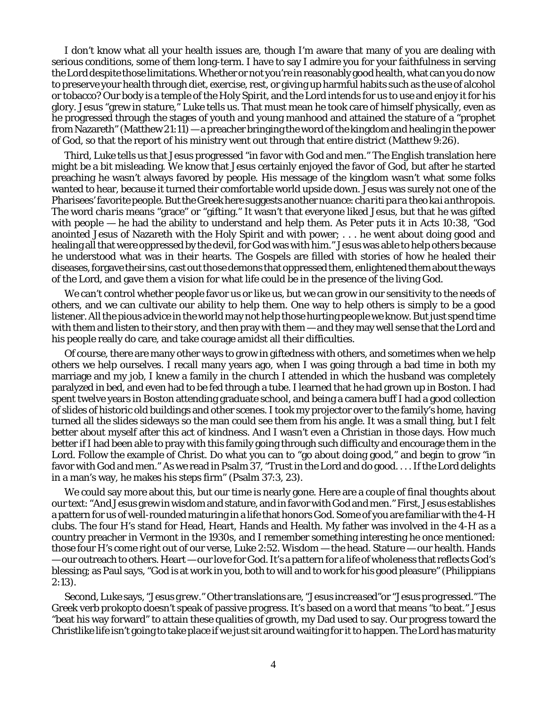I don't know what all your health issues are, though I'm aware that many of you are dealing with serious conditions, some of them long-term. I have to say I admire you for your faithfulness in serving the Lord despite those limitations. Whether or not you're in reasonably good health, what can you do *now* to preserve your health through diet, exercise, rest, or giving up harmful habits such as the use of alcohol or tobacco? Our body is a temple of the Holy Spirit, and the Lord intends for us to use and enjoy it for his glory. Jesus "grew in stature," Luke tells us. That must mean he took care of himself physically, even as he progressed through the stages of youth and young manhood and attained the stature of a "prophet from Nazareth" (Matthew 21:11) — a preacher bringing the word of the kingdom and healing in the power of God, so that the report of his ministry went out through that entire district (Matthew 9:26).

Third, Luke tells us that Jesus progressed "in favor with God and men." The English translation here might be a bit misleading. We know that Jesus certainly enjoyed the favor of God, but after he started preaching he wasn't always favored by people. His message of the kingdom wasn't what some folks wanted to hear, because it turned their comfortable world upside down. Jesus was surely not one of the Pharisees' favorite people. But the Greek here suggests another nuance: *chariti para theo kai anthropois.* The word *charis* means "grace" or "gifting." It wasn't that everyone *liked* Jesus, but that he was *gifted* with people — he had the ability to understand and help them. As Peter puts it in Acts 10:38, "God anointed Jesus of Nazareth with the Holy Spirit and with power; . . . he went about doing good and healing all that were oppressed by the devil, for God was with him." Jesus was able to help others because he understood what was in their hearts. The Gospels are filled with stories of how he healed their diseases, forgave their sins, cast out those demons that oppressed them, enlightened them about the ways of the Lord, and gave them a vision for what life could be in the presence of the living God.

We can't control whether people favor us or like us, but we *can* grow in our sensitivity to the needs of others, and we can cultivate our ability to help them. One way to help others is simply to be a good listener. All the pious advice in the world may not help those hurting people we know. But just spend time with them and listen to their story, and then pray with them — and they may well sense that the Lord and his people really do care, and take courage amidst all their difficulties.

Of course, there are many other ways to grow in giftedness with others, and sometimes when we help others we help ourselves. I recall many years ago, when I was going through a bad time in both my marriage and my job, I knew a family in the church I attended in which the husband was completely paralyzed in bed, and even had to be fed through a tube. I learned that he had grown up in Boston. I had spent twelve years in Boston attending graduate school, and being a camera buff I had a good collection of slides of historic old buildings and other scenes. I took my projector over to the family's home, having turned all the slides sideways so the man could see them from his angle. It was a small thing, but I felt better about myself after this act of kindness. And I wasn't even a Christian in those days. How much better if I had been able to pray with this family going through such difficulty and encourage them in the Lord. Follow the example of Christ. Do what you can to "go about doing good," and begin to grow "in favor with God and men." As we read in Psalm 37, "Trust in the Lord and do good.... If the Lord delights in a man's way, he makes his steps firm" (Psalm 37:3, 23).

We could say more about this, but our time is nearly gone. Here are a couple of final thoughts about our text: "And Jesus grew in wisdom and stature, and in favor with God and men." First, Jesus establishes a pattern for us of well-rounded maturing in a life that honors God. Some of you are familiar with the 4-H clubs. The four H's stand for Head, Heart, Hands and Health. My father was involved in the 4-H as a country preacher in Vermont in the 1930s, and I remember something interesting he once mentioned: those four H's come right out of our verse, Luke 2:52. Wisdom — the head. Stature — our health. Hands — our outreach to others. Heart — our love for God. It's a pattern for a life of wholeness that reflects God's blessing; as Paul says, "God is at work in you, both to will and to work for his good pleasure" (Philippians 2:13).

Second, Luke says, "Jesus *grew.*" Other translations are, "Jesus *increased"*or "Jesus *progressed."* The Greek verb *prokopto* doesn't speak of passive progress. It's based on a word that means "to beat." Jesus "beat his way forward" to attain these qualities of growth, my Dad used to say. Our progress toward the Christlike life isn't going to take place if we just sit around waiting for it to happen. The Lord has maturity